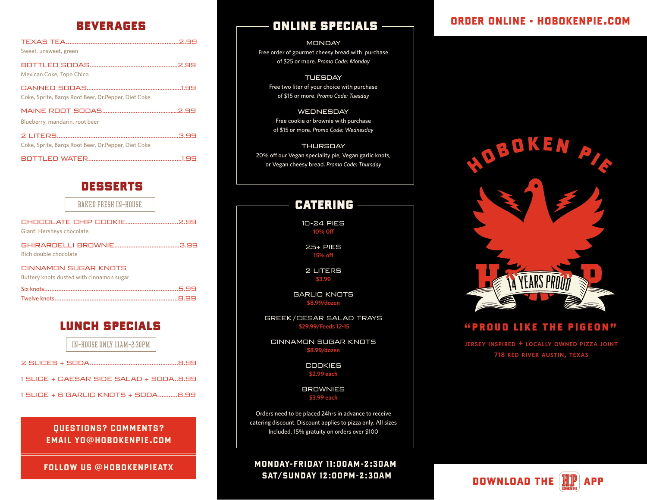| Sweet, unsweet, green                                |  |
|------------------------------------------------------|--|
| Mexican Coke, Topo Chico                             |  |
| Coke, Sprite, Bargs Root Beer, Dr. Pepper, Diet Coke |  |
| Blueberry, mandarin, root beer                       |  |
| Coke, Sprite, Bargs Root Beer, Dr. Pepper, Diet Coke |  |
|                                                      |  |

### desserts

|                           | <b>BAKED FRESH IN-HOUSE</b>                                      |  |
|---------------------------|------------------------------------------------------------------|--|
| Giant! Hersheys chocolate | CHOCOLATE CHIP COOKIE2.99                                        |  |
| Rich double chocolate     |                                                                  |  |
|                           | CINNAMON SUGAR KNOTS<br>Buttery knots dusted with cinnamon sugar |  |
|                           |                                                                  |  |

### lunch specials

IN-HOUSE ONLY 11AM-2:30PM

| $1$ SLICE + CAESAR SIDE SALAD + SODA8.99 |
|------------------------------------------|
| 1 SLICE + 6 GARLIC KNOTS + SODA8.99      |

### QUESTIONS? COMMENTS? EMAIL YO@HOBOKENPIE.COM

# beverages online specials

**MONDAY** Free order of gourmet cheesy bread with purchase of \$25 or more. *Promo Code: Monday*

TUESDAY Free two liter of your choice with purchase of \$15 or more. *Promo Code: Tuesday*

WEDNESDAY Free cookie or brownie with purchase of \$15 or more. *Promo Code: Wednesday*

**THURSDAY** 20% off our Vegan speciality pie, Vegan garlic knots, or Vegan cheesy bread. *Promo Code: Thursday*

### **CATERING**

10-24 PIES **10% 0ff**

> 25+ PIES **15% off**

2 LITERS **\$3.99**

GARLIC KNOTS **\$8.99/dozen**

GREEK/CESAR SALAD TRAYS  **\$29.99/Feeds 12-15**

CINNAMON SUGAR KNOTS **\$8.99/dozen**

> COOKIES **\$2.99 each**

**BROWNIES \$3.99 each**

Orders need to be placed 24hrs in advance to receive catering discount. Discount applies to pizza only. All sizes Included. 15% gratuity on orders over \$100

FOLLOW US @HOBOKENPIEATX MONDAY-FRIDAY 11:00AM-2:30AM SAT/SUNDAY 12:00PM-2:30AM

# ORDER ONLINE • HOBOKENPIE.COM



### "PROUD LIKE THE PIGEON"

**jersey inspired + locally owned pizza joint 718 red river austin, texas**